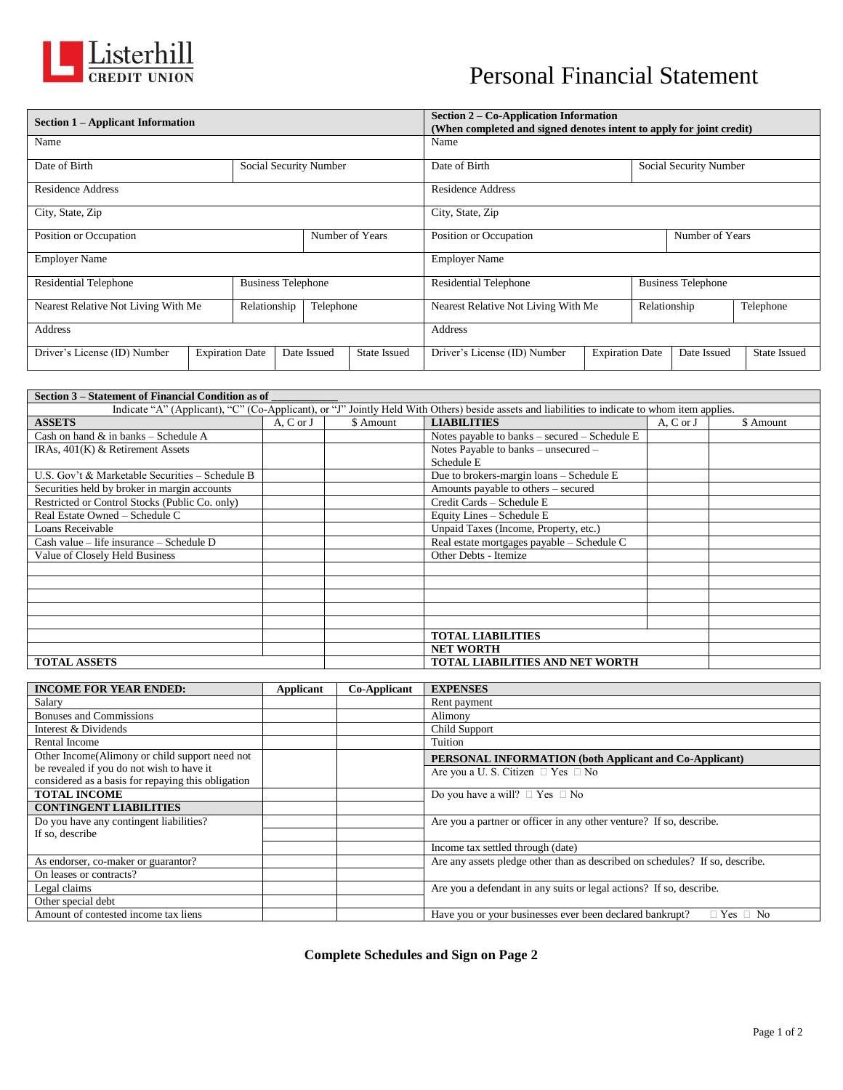

## Personal Financial Statement

|                                                     | Section 1 – Applicant Information |                           |  |                        | Section $2 - Co$ -Application Information<br>(When completed and signed denotes intent to apply for joint credit) |                                     |                        |                        |                           |                     |  |
|-----------------------------------------------------|-----------------------------------|---------------------------|--|------------------------|-------------------------------------------------------------------------------------------------------------------|-------------------------------------|------------------------|------------------------|---------------------------|---------------------|--|
| Name                                                |                                   |                           |  | Name                   |                                                                                                                   |                                     |                        |                        |                           |                     |  |
| Date of Birth                                       |                                   |                           |  | Social Security Number |                                                                                                                   | Date of Birth                       |                        | Social Security Number |                           |                     |  |
| Residence Address                                   |                                   |                           |  |                        | Residence Address                                                                                                 |                                     |                        |                        |                           |                     |  |
| City, State, Zip                                    |                                   |                           |  |                        |                                                                                                                   | City, State, Zip                    |                        |                        |                           |                     |  |
| Position or Occupation                              |                                   |                           |  |                        | Number of Years                                                                                                   | Position or Occupation              |                        |                        |                           | Number of Years     |  |
| <b>Employer Name</b>                                |                                   |                           |  |                        |                                                                                                                   | <b>Employer Name</b>                |                        |                        |                           |                     |  |
| <b>Residential Telephone</b>                        |                                   | <b>Business Telephone</b> |  |                        |                                                                                                                   | <b>Residential Telephone</b>        |                        |                        | <b>Business Telephone</b> |                     |  |
| Nearest Relative Not Living With Me<br>Relationship |                                   |                           |  | Telephone              |                                                                                                                   | Nearest Relative Not Living With Me |                        | Relationship           |                           | Telephone           |  |
| <b>Address</b>                                      |                                   |                           |  |                        |                                                                                                                   | Address                             |                        |                        |                           |                     |  |
| Driver's License (ID) Number                        | <b>Expiration Date</b>            |                           |  | Date Issued            | <b>State Issued</b>                                                                                               | Driver's License (ID) Number        | <b>Expiration Date</b> |                        | Date Issued               | <b>State Issued</b> |  |

| Section 3 – Statement of Financial Condition as of |                           |                           |                                                                                                                                                |           |           |  |
|----------------------------------------------------|---------------------------|---------------------------|------------------------------------------------------------------------------------------------------------------------------------------------|-----------|-----------|--|
|                                                    |                           |                           | Indicate "A" (Applicant), "C" (Co-Applicant), or "J" Jointly Held With Others) beside assets and liabilities to indicate to whom item applies. |           |           |  |
| <b>ASSETS</b>                                      | A, C or J                 | \$ Amount                 | <b>LIABILITIES</b>                                                                                                                             | A, C or J | \$ Amount |  |
| Cash on hand $\&$ in banks – Schedule A            |                           |                           | Notes payable to banks $-$ secured $-$ Schedule E                                                                                              |           |           |  |
| IRAs, $401(K)$ & Retirement Assets                 |                           |                           | Notes Payable to banks – unsecured –                                                                                                           |           |           |  |
|                                                    |                           |                           | Schedule E                                                                                                                                     |           |           |  |
| U.S. Gov't & Marketable Securities – Schedule B    |                           |                           | Due to brokers-margin loans - Schedule E                                                                                                       |           |           |  |
| Securities held by broker in margin accounts       |                           |                           | Amounts payable to others – secured                                                                                                            |           |           |  |
| Restricted or Control Stocks (Public Co. only)     | Credit Cards - Schedule E |                           |                                                                                                                                                |           |           |  |
| Real Estate Owned - Schedule C                     |                           | Equity Lines - Schedule E |                                                                                                                                                |           |           |  |
| Loans Receivable                                   |                           |                           | Unpaid Taxes (Income, Property, etc.)                                                                                                          |           |           |  |
| Cash value – life insurance – Schedule D           |                           |                           | Real estate mortgages payable - Schedule C                                                                                                     |           |           |  |
| Value of Closely Held Business                     |                           |                           | Other Debts - Itemize                                                                                                                          |           |           |  |
|                                                    |                           |                           |                                                                                                                                                |           |           |  |
|                                                    |                           |                           |                                                                                                                                                |           |           |  |
|                                                    |                           |                           |                                                                                                                                                |           |           |  |
|                                                    |                           |                           |                                                                                                                                                |           |           |  |
|                                                    |                           |                           |                                                                                                                                                |           |           |  |
|                                                    |                           |                           | <b>TOTAL LIABILITIES</b>                                                                                                                       |           |           |  |
|                                                    |                           |                           | <b>NET WORTH</b>                                                                                                                               |           |           |  |
| <b>TOTAL ASSETS</b>                                |                           |                           | <b>TOTAL LIABILITIES AND NET WORTH</b>                                                                                                         |           |           |  |

| <b>INCOME FOR YEAR ENDED:</b>                                                                   | Applicant | Co-Applicant | <b>EXPENSES</b>                                                                  |
|-------------------------------------------------------------------------------------------------|-----------|--------------|----------------------------------------------------------------------------------|
| Salary                                                                                          |           |              | Rent payment                                                                     |
| <b>Bonuses and Commissions</b>                                                                  |           |              | Alimony                                                                          |
| Interest & Dividends                                                                            |           |              | Child Support                                                                    |
| Rental Income                                                                                   |           |              | Tuition                                                                          |
| Other Income (Alimony or child support need not                                                 |           |              | PERSONAL INFORMATION (both Applicant and Co-Applicant)                           |
| be revealed if you do not wish to have it<br>considered as a basis for repaying this obligation |           |              | Are you a U. S. Citizen $\Box$ Yes $\Box$ No                                     |
| <b>TOTAL INCOME</b>                                                                             |           |              | Do you have a will? $\Box$ Yes $\Box$ No                                         |
| <b>CONTINGENT LIABILITIES</b>                                                                   |           |              |                                                                                  |
| Do you have any contingent liabilities?                                                         |           |              | Are you a partner or officer in any other venture? If so, describe.              |
| If so, describe                                                                                 |           |              |                                                                                  |
|                                                                                                 |           |              | Income tax settled through (date)                                                |
| As endorser, co-maker or guarantor?                                                             |           |              | Are any assets pledge other than as described on schedules? If so, describe.     |
| On leases or contracts?                                                                         |           |              |                                                                                  |
| Legal claims                                                                                    |           |              | Are you a defendant in any suits or legal actions? If so, describe.              |
| Other special debt                                                                              |           |              |                                                                                  |
| Amount of contested income tax liens                                                            |           |              | Have you or your businesses ever been declared bankrupt?<br>$\Box$ Yes $\Box$ No |

**Complete Schedules and Sign on Page 2**